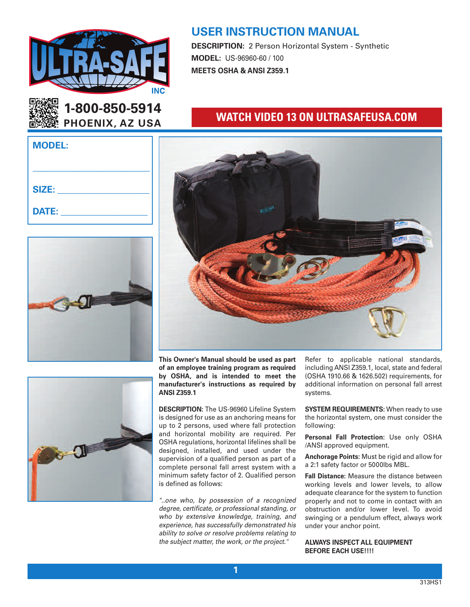

**1-800-850-5914**

### **USER INSTRUCTION MANUAL**

**DESCRIPTION:** 2 Person Horizontal System - Synthetic **MODEL:** US-96960-60 / 100 **MEETS OSHA & ANSI Z359.1**

## **PHOENIX, AZ USA WATCH VIDEO <sup>13</sup> ON ULTRASAFEUSA.COM**

| <b>MODEL:</b> |  |
|---------------|--|
|               |  |
| <b>SIZE:</b>  |  |
| <b>DATE:</b>  |  |







**This Owner's Manual should be used as part of an employee training program as required by OSHA, and is intended to meet the manufacturer's instructions as required by ANSI Z359.1**

**DESCRIPTION:** The US-96960 Lifeline System is designed for use as an anchoring means for up to 2 persons, used where fall protection and horizontal mobility are required. Per OSHA regulations, horizontal lifelines shall be designed, installed, and used under the supervision of a qualified person as part of a complete personal fall arrest system with a minimum safety factor of 2. Qualified person is defined as follows:

*"..one who, by possession of a recognized degree, certificate, or professional standing, or who by extensive knowledge, training, and experience, has successfully demonstrated his ability to solve or resolve problems relating to the subject matter, the work, or the project."*

Refer to applicable national standards, including ANSI Z359.1, local, state and federal (OSHA 1910.66 & 1626.502) requirements, for additional information on personal fall arrest systems.

**SYSTEM REQUIREMENTS:** When ready to use the horizontal system, one must consider the following:

**Personal Fall Protection:** Use only OSHA /ANSI approved equipment.

**Anchorage Points:** Must be rigid and allow for a 2:1 safety factor or 5000lbs MBL.

**Fall Distance:** Measure the distance between working levels and lower levels, to allow adequate clearance for the system to function properly and not to come in contact with an obstruction and/or lower level. To avoid swinging or a pendulum effect, always work under your anchor point.

**ALWAYS INSPECT ALL EQUIPMENT BEFORE EACH USE!!!!**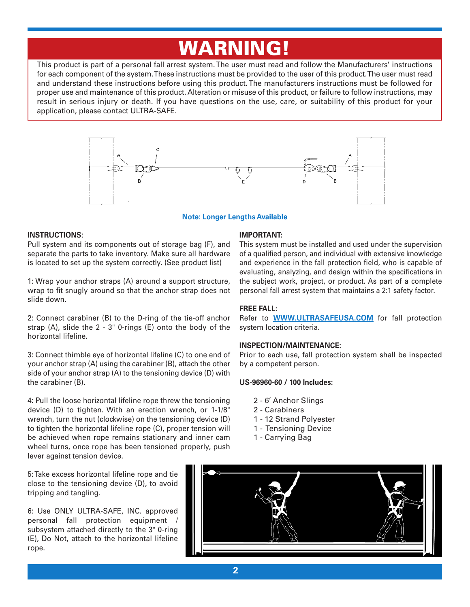# **WARNING!**

This product is part of a personal fall arrest system.The user must read and follow the Manufacturers' instructions for each component of the system.These instructions must be provided to the user of this product.The user must read and understand these instructions before using this product.The manufacturers instructions must be followed for proper use and maintenance of this product. Alteration or misuse of this product, or failure to follow instructions, may result in serious injury or death. If you have questions on the use, care, or suitability of this product for your application, please contact ULTRA-SAFE.



#### **Note: Longer Lengths Available**

#### **INSTRUCTIONS**:

Pull system and its components out of storage bag (F), and separate the parts to take inventory. Make sure all hardware is located to set up the system correctly. (See product list)

1: Wrap your anchor straps (A) around a support structure, wrap to fit snugly around so that the anchor strap does not slide down.

2: Connect carabiner (B) to the D-ring of the tie-off anchor strap (A), slide the 2 - 3" 0-rings (E) onto the body of the horizontal lifeline.

3: Connect thimble eye of horizontal lifeline (C) to one end of your anchor strap (A) using the carabiner (B), attach the other side of your anchor strap (A) to the tensioning device (D) with the carabiner (B).

4: Pull the loose horizontal lifeline rope threw the tensioning device (D) to tighten. With an erection wrench, or 1-1/8" wrench, turn the nut (clockwise) on the tensioning device (D) to tighten the horizontal lifeline rope (C), proper tension will be achieved when rope remains stationary and inner cam wheel turns, once rope has been tensioned properly, push lever against tension device.

#### 5:Take excess horizontal lifeline rope and tie close to the tensioning device (D), to avoid tripping and tangling.

6: Use ONLY ULTRA-SAFE, INC. approved personal fall protection equipment / subsystem attached directly to the 3" 0-ring (E), Do Not, attach to the horizontal lifeline rope.

#### **IMPORTANT:**

This system must be installed and used under the supervision of a qualified person, and individual with extensive knowledge and experience in the fall protection field, who is capable of evaluating, analyzing, and design within the specifications in the subject work, project, or product. As part of a complete personal fall arrest system that maintains a 2:1 safety factor.

#### **FREE FALL:**

Refer to **WWW.ULTRASAFEUSA.COM** for fall protection system location criteria.

#### **INSPECTION/MAINTENANCE:**

Prior to each use, fall protection system shall be inspected by a competent person.

#### **US-96960-60 / 100 Includes:**

- 2 6' Anchor Slings
- 2 Carabiners
- 1 12 Strand Polyester
- 1 Tensioning Device
- 1 Carrying Bag

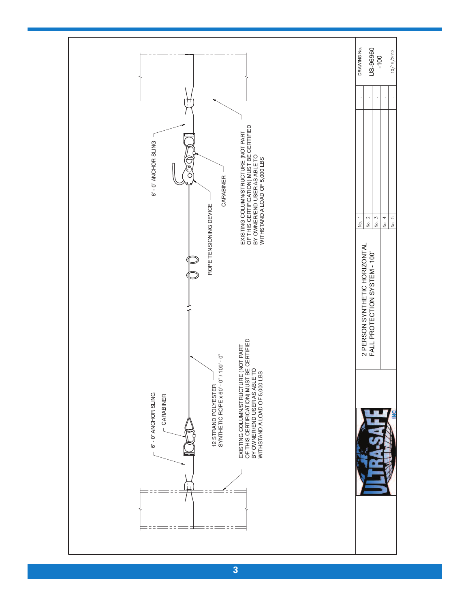